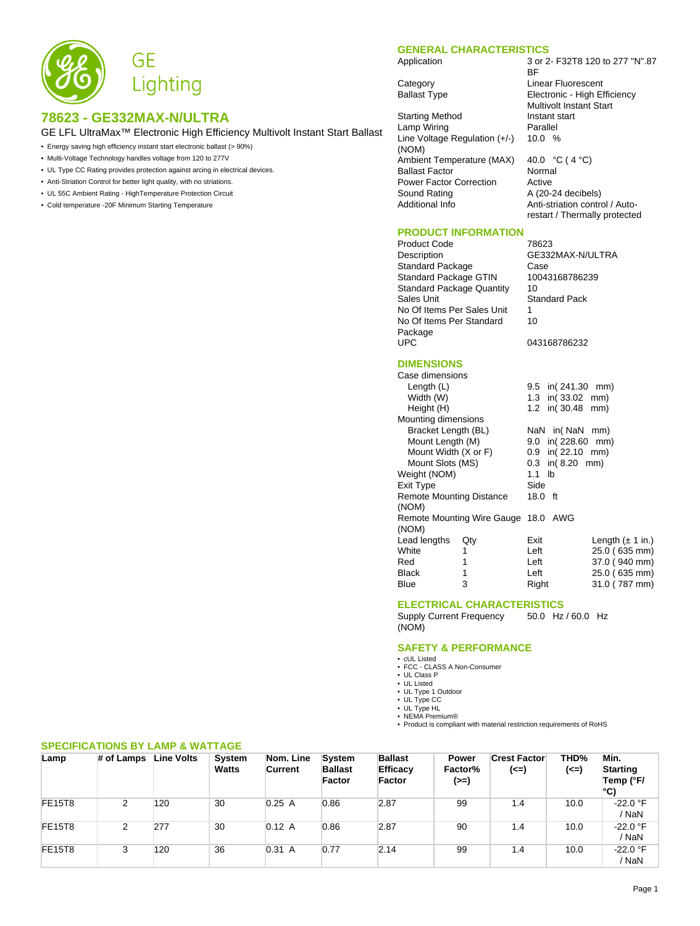

# **78623 - GE332MAX-N/ULTRA**

GE LFL UltraMax™ Electronic High Efficiency Multivolt Instant Start Ballast

- Energy saving high efficiency instant start electronic ballast (> 90%)
- Multi-Voltage Technology handles voltage from 120 to 277V
- UL Type CC Rating provides protection against arcing in electrical devices.
- Anti-Striation Control for better light quality, with no striations.
- UL 55C Ambient Rating HighTemperature Protection Circuit
- Cold temperature -20F Minimum Starting Temperature

#### **GENERAL CHARACTERISTICS**

BF

Application 3 or 2- F32T8 120 to 277 "N".87

Category **Linear Fluorescent** Ballast Type **Electronic - High Efficiency** 

Starting Method Instant start<br>
Lamp Wiring **Instant Start** Lamp Wiring Line Voltage Regulation (+/-) (NOM) Ambient Temperature (MAX) 40.0 °C (4 °C) Ballast Factor Normal Power Factor Correction Active<br>Sound Rating A (20-2 Sound Rating **A** (20-24 decibels)<br>Additional Info **Anti-striation control** 

# **PRODUCT INFORMATION**

Product Code 78623<br>Description GE332 Standard Package Case<br>Standard Package GTIN 10043168786239 Standard Package GTIN Standard Package Quantity 10 Sales Unit Standard Pack No Of Items Per Sales Unit 1 No Of Items Per Standard Package<br>UPC

10.0 % Anti-striation control / Autorestart / Thermally protected GE332MAX-N/ULTRA

Multivolt Instant Start

10 043168786232

# **DIMENSIONS**

| Case dimensions          |                                     |                                      |
|--------------------------|-------------------------------------|--------------------------------------|
| Length $(L)$             |                                     | 9.5 in(241.30 mm)                    |
| Width (W)                |                                     | 1.3 in(33.02 mm)                     |
| Height (H)               |                                     | 1.2 in(30.48 mm)                     |
| Mounting dimensions      |                                     |                                      |
| Bracket Length (BL)      |                                     | NaN in (NaN mm)                      |
| Mount Length (M)         |                                     | $9.0 \text{ in} (228.60 \text{ mm})$ |
| Mount Width (X or F)     |                                     | $0.9$ in( $22.10$ mm)                |
| Mount Slots (MS)         |                                     | $0.3$ in( $8.20$ mm)                 |
| Weight (NOM)             |                                     | $1.1$ lb                             |
| Exit Type                |                                     | Side                                 |
| Remote Mounting Distance |                                     | 18.0 ft                              |
| (NOM)                    |                                     |                                      |
|                          | Remote Mounting Wire Gauge 18.0 AWG |                                      |
| (NOM)                    |                                     |                                      |
| Lead lengths             | Qty                                 | Exit<br>Length $(\pm 1$ in.)         |
| White                    | 1                                   | Left<br>25.0 (635 mm)                |
| Red                      | 1                                   | 37.0 (940 mm)<br>Left                |
| Black                    | 1                                   | Left<br>25.0 (635 mm)                |
| Blue                     | 3                                   | Right<br>31.0 (787 mm)               |

## **ELECTRICAL CHARACTERISTICS**

Supply Current Frequency (NOM) 50.0 Hz / 60.0 Hz

## **SAFETY & PERFORMANCE**

- cUL Listed
- FCC CLASS A Non-Consumer
- UL Class P • UL Listed
- UL Type 1 Outdoor
- UL Type CC
- UL Type HL NEMA Premium®
- 

• Product is compliant with material restriction requirements of RoHS

| Lamp          | # of Lamps | <b>Line Volts</b> | System<br><b>Watts</b> | Nom. Line<br>Current | <b>System</b><br><b>Ballast</b><br><b>Factor</b> | <b>Ballast</b><br>Efficacy<br>Factor | <b>Power</b><br>Factor%<br>(>=) | <b>Crest Factor</b><br>(<=) | THD%<br>(<=) | Min.<br><b>Starting</b><br>Temp (°F/<br>l°C) |
|---------------|------------|-------------------|------------------------|----------------------|--------------------------------------------------|--------------------------------------|---------------------------------|-----------------------------|--------------|----------------------------------------------|
| <b>FE15T8</b> | 2          | 120               | 30                     | 0.25A                | 0.86                                             | 2.87                                 | 99                              | 1.4                         | 10.0         | -22.0 °F<br>' NaN                            |
| <b>FE15T8</b> | 2          | 277               | 30                     | 0.12 A               | 0.86                                             | 2.87                                 | 90                              | 1.4                         | 10.0         | -22.0 °F<br>' NaN                            |
| <b>FE15T8</b> | 3          | 120               | 36                     | 0.31 A               | 0.77                                             | 2.14                                 | 99                              | 1.4                         | 10.0         | $-22.0$ °F<br>' NaN                          |

#### **SPECIFICATIONS BY LAMP & WATTAGE**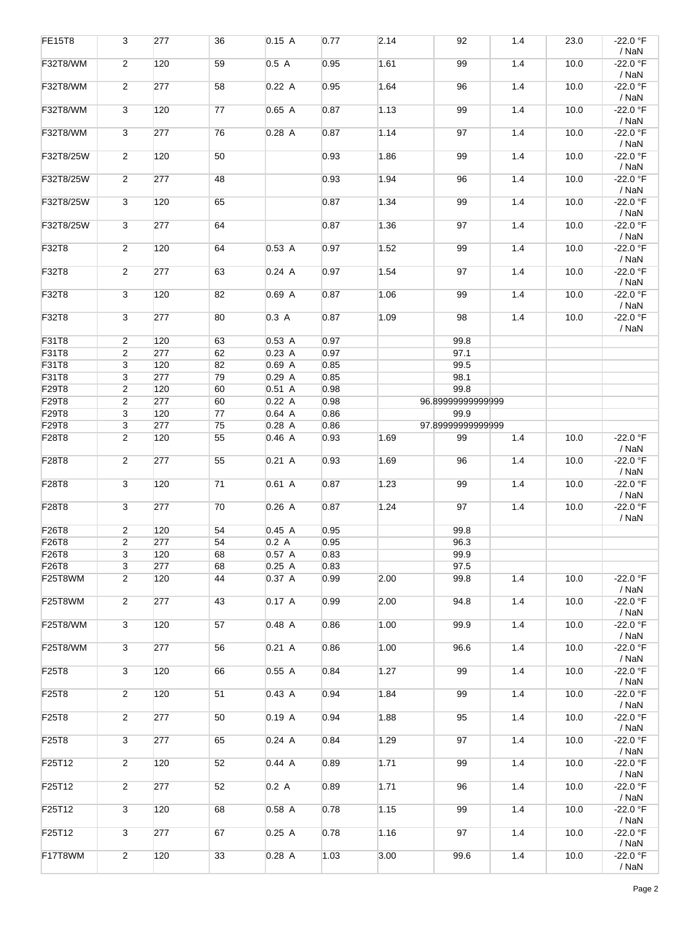| <b>FE15T8</b>   | 3                       | 277 | 36 | 0.15A    | 0.77 | 2.14 | 92                | 1.4 | 23.0 | $-22.0$ °F                 |
|-----------------|-------------------------|-----|----|----------|------|------|-------------------|-----|------|----------------------------|
| F32T8/WM        | $\overline{2}$          | 120 | 59 | 0.5A     | 0.95 | 1.61 | 99                | 1.4 | 10.0 | / NaN<br>-22.0 °F<br>/ NaN |
| F32T8/WM        | $\overline{2}$          | 277 | 58 | 0.22A    | 0.95 | 1.64 | 96                | 1.4 | 10.0 | -22.0 °F<br>/ NaN          |
| F32T8/WM        | 3                       | 120 | 77 | 0.65 A   | 0.87 | 1.13 | 99                | 1.4 | 10.0 | -22.0 °F<br>/ NaN          |
| F32T8/WM        | 3                       | 277 | 76 | $0.28$ A | 0.87 | 1.14 | 97                | 1.4 | 10.0 | -22.0 °F<br>/ NaN          |
| F32T8/25W       | $\overline{2}$          | 120 | 50 |          | 0.93 | 1.86 | 99                | 1.4 | 10.0 | -22.0 °F<br>/ NaN          |
| F32T8/25W       | $\overline{c}$          | 277 | 48 |          | 0.93 | 1.94 | 96                | 1.4 | 10.0 | $-22.0 °F$<br>/ NaN        |
| F32T8/25W       | 3                       | 120 | 65 |          | 0.87 | 1.34 | 99                | 1.4 | 10.0 | $-22.0 °F$<br>/ NaN        |
| F32T8/25W       | $\overline{3}$          | 277 | 64 |          | 0.87 | 1.36 | 97                | 1.4 | 10.0 | $-22.0 °F$<br>/ NaN        |
| F32T8           | $\overline{2}$          | 120 | 64 | 0.53A    | 0.97 | 1.52 | 99                | 1.4 | 10.0 | -22.0 °F<br>/ NaN          |
| F32T8           | $\overline{2}$          | 277 | 63 | 0.24 A   | 0.97 | 1.54 | 97                | 1.4 | 10.0 | -22.0 °F<br>/ NaN          |
| F32T8           | 3                       | 120 | 82 | 0.69 A   | 0.87 | 1.06 | 99                | 1.4 | 10.0 | -22.0 °F<br>/ NaN          |
| F32T8           | 3                       | 277 | 80 | 0.3 A    | 0.87 | 1.09 | 98                | 1.4 | 10.0 | -22.0 °F<br>/ NaN          |
| F31T8           | $\overline{c}$          | 120 | 63 | 0.53A    | 0.97 |      | 99.8              |     |      |                            |
| F31T8           | $\overline{\mathbf{c}}$ | 277 | 62 | 0.23A    | 0.97 |      | 97.1              |     |      |                            |
| F31T8           | 3                       | 120 | 82 | 0.69A    | 0.85 |      | 99.5              |     |      |                            |
| F31T8           | 3                       | 277 | 79 | 0.29A    | 0.85 |      | 98.1              |     |      |                            |
| F29T8           | $\overline{\mathbf{c}}$ | 120 | 60 | 0.51A    | 0.98 |      | 99.8              |     |      |                            |
|                 |                         |     |    |          |      |      |                   |     |      |                            |
| F29T8           | $\overline{\mathbf{c}}$ | 277 | 60 | 0.22A    | 0.98 |      | 96.89999999999999 |     |      |                            |
| F29T8           | 3                       | 120 | 77 | $0.64$ A | 0.86 |      | 99.9              |     |      |                            |
| F29T8           | 3                       | 277 | 75 | 0.28A    | 0.86 |      | 97.89999999999999 |     |      |                            |
| F28T8           | $\overline{c}$          | 120 | 55 | 0.46 A   | 0.93 | 1.69 | 99                | 1.4 | 10.0 | $-22.0$ °F<br>/ NaN        |
| F28T8           | $\overline{2}$          | 277 | 55 | 0.21 A   | 0.93 | 1.69 | 96                | 1.4 | 10.0 | -22.0 °F<br>/ NaN          |
| F28T8           | 3                       | 120 | 71 | $0.61$ A | 0.87 | 1.23 | 99                | 1.4 | 10.0 | $-22.0 °F$<br>/ NaN        |
| F28T8           | 3                       | 277 | 70 | 0.26A    | 0.87 | 1.24 | 97                | 1.4 | 10.0 | $-22.0 °F$<br>/ NaN        |
| F26T8           | $\overline{c}$          | 120 | 54 | 0.45A    | 0.95 |      | 99.8              |     |      |                            |
| F26T8           | $\overline{c}$          | 277 | 54 | 0.2 A    | 0.95 |      | 96.3              |     |      |                            |
| F26T8           | 3                       | 120 | 68 | 0.57 A   | 0.83 |      | 99.9              |     |      |                            |
| F26T8           |                         | 277 | 68 |          | 0.83 |      |                   |     |      |                            |
|                 | 3                       |     |    | 0.25A    |      |      | 97.5              |     |      |                            |
| F25T8WM         | $\overline{2}$          | 120 | 44 | 0.37 A   | 0.99 | 2.00 | 99.8              | 1.4 | 10.0 | $-22.0$ °F<br>/ NaN        |
| F25T8WM         | $\overline{2}$          | 277 | 43 | 0.17A    | 0.99 | 2.00 | 94.8              | 1.4 | 10.0 | -22.0 °F<br>/ NaN          |
| F25T8/WM        | 3                       | 120 | 57 | 0.48A    | 0.86 | 1.00 | 99.9              | 1.4 | 10.0 | $-22.0$ °F<br>/ NaN        |
| <b>F25T8/WM</b> | 3                       | 277 | 56 | 0.21 A   | 0.86 | 1.00 | 96.6              | 1.4 | 10.0 | -22.0 °F<br>/ NaN          |
| F25T8           | 3                       | 120 | 66 | 0.55A    | 0.84 | 1.27 | 99                | 1.4 | 10.0 | $-22.0$ °F<br>/ NaN        |
| F25T8           | $\overline{2}$          | 120 | 51 | 0.43 A   | 0.94 | 1.84 | 99                | 1.4 | 10.0 | $-22.0$ °F<br>/ NaN        |
| F25T8           | $\overline{2}$          | 277 | 50 | 0.19A    | 0.94 | 1.88 | 95                | 1.4 | 10.0 | $-22.0 °F$<br>/ NaN        |
| F25T8           | $\overline{3}$          | 277 | 65 | 0.24 A   | 0.84 | 1.29 | 97                | 1.4 | 10.0 | $-22.0 °F$<br>/ NaN        |
| F25T12          | $\overline{2}$          | 120 | 52 | 0.44A    | 0.89 | 1.71 | 99                | 1.4 | 10.0 | $-22.0$ °F<br>/ NaN        |
| F25T12          | $\overline{2}$          | 277 | 52 | 0.2 A    | 0.89 | 1.71 | 96                | 1.4 | 10.0 | -22.0 °F<br>/ NaN          |
| F25T12          | 3                       | 120 | 68 | 0.58A    | 0.78 | 1.15 | 99                | 1.4 | 10.0 | $-22.0$ °F<br>/ NaN        |
| F25T12          | 3                       | 277 | 67 | 0.25A    | 0.78 | 1.16 | 97                | 1.4 | 10.0 | $-22.0$ °F<br>/ NaN        |
| F17T8WM         | $\overline{2}$          | 120 | 33 | 0.28A    | 1.03 | 3.00 | 99.6              | 1.4 | 10.0 | -22.0 °F<br>/ NaN          |